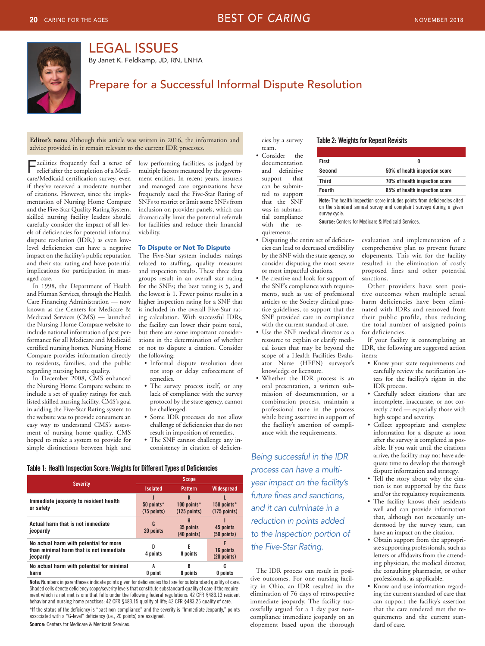

# LEGAL ISSUES

By Janet K. Feldkamp, JD, RN, LNHA

# Prepare for a Successful Informal Dispute Resolution

**Editor's note:** Although this article was written in 2016, the information and advice provided in it remain relevant to the current IDR processes.

Facilities frequently feel a sense of<br>relief after the completion of a Medicare/Medicaid certification survey, even if they've received a moderate number of citations. However, since the implementation of Nursing Home Compare and the Five-Star Quality Rating System, skilled nursing facility leaders should carefully consider the impact of all levels of deficiencies for potential informal dispute resolution (IDR,) as even lowlevel deficiencies can have a negative impact on the facility's public reputation and their star rating and have potential implications for participation in managed care.

In 1998, the Department of Health and Human Services, through the Health Care Financing Administration — now known as the Centers for Medicare & Medicaid Services (CMS) — launched the Nursing Home Compare website to include national information of past performance for all Medicare and Medicaid certified nursing homes. Nursing Home Compare provides information directly to residents, families, and the public regarding nursing home quality.

 In December 2008, CMS enhanced the Nursing Home Compare website to include a set of quality ratings for each listed skilled nursing facility. CMS's goal in adding the Five-Star Rating system to the website was to provide consumers an easy way to understand CMS's assessment of nursing home quality. CMS hoped to make a system to provide for simple distinctions between high and

low performing facilities, as judged by multiple factors measured by the government entities. In recent years, insurers and managed care organizations have frequently used the Five-Star Rating of SNFs to restrict or limit some SNFs from inclusion on provider panels, which can dramatically limit the potential referrals for facilities and reduce their financial viability.

## To Dispute or Not To Dispute

 The Five-Star system includes ratings related to staffing, quality measures and inspection results. These three data groups result in an overall star rating for the SNFs; the best rating is 5, and the lowest is 1. Fewer points results in a higher inspection rating for a SNF that is included in the overall Five-Star rating calculation. With successful IDRs, the facility can lower their point total, but there are some important considerations in the determination of whether or not to dispute a citation. Consider the following:

- Informal dispute resolution does not stop or delay enforcement of remedies.
- The survey process itself, or any lack of compliance with the survey protocol by the state agency, cannot be challenged.
- Some IDR processes do not allow challenge of deficiencies that do not result in imposition of remedies.
- The SNF cannot challenge any inconsistency in citation of deficien-

## Table 1: Health Inspection Score: Weights for Different Types of Deficiencies

|                                                                                               | <b>Scope</b>                |                                    |                               |
|-----------------------------------------------------------------------------------------------|-----------------------------|------------------------------------|-------------------------------|
| <b>Severity</b>                                                                               | <b>Isolated</b>             | <b>Pattern</b>                     | <b>Widespread</b>             |
| Immediate jeopardy to resident health<br>or safety                                            | 50 points*<br>$(75$ points) | K<br>100 points*<br>$(125$ points) | 150 points*<br>$(175$ points) |
| Actual harm that is not immediate<br>jeopardy                                                 | G<br>20 points              | H<br>35 points<br>$(40$ points)    | 45 points<br>$(50$ points)    |
| No actual harm with potential for more<br>than minimal harm that is not immediate<br>jeopardy | 4 points                    | F<br>8 points                      | F<br>16 points<br>(20 points) |
| No actual harm with potential for minimal<br>harm                                             | A<br>0 point                | B<br><b>O</b> points               | c<br>0 points                 |

Note: Numbers in parentheses indicate points given for deficiencies that are for substandard quality of care. Shaded cells denote deficiency scope/severity levels that constitute substandard quality of care if the requirement which is not met is one that falls under the following federal regulations: 42 CFR §483.13 resident behavior and nursing home practices; 42 CFR §483.15 quality of life; 42 CFR §483.25 quality of care.

\*If the status of the deficiency is "past non-compliance" and the severity is "Immediate Jeopardy," points associated with a "G-level" deficiency (i.e., 20 points) are assigned.

Source: Centers for Medicare & Medicaid Services.

cies by a survey Table 2: Weights for Repeat Revisits

documentation and definitive quirements.

| team.                                       |               |                                |
|---------------------------------------------|---------------|--------------------------------|
| $\bullet$ Consider<br>the.<br>documentation | <b>First</b>  |                                |
| and definitive                              | <b>Second</b> | 50% of health inspection score |
| support that                                | <b>Third</b>  | 70% of health inspection score |
| can be submit-<br>to support<br>ted         | <b>Fourth</b> | 85% of health inspection score |

that the SNF **Note:** The health inspection score includes points from deficiencies cited<br>was in substan- on the standard annual survey and complaint surveys during a given was in substan-<br>tial compliance survey cycle.<br>with the re- **Source:** Centers for Medicare & Medicaid Services.

- Disputing the entire set of deficien-<br>ciential condition and implementation of a<br>cies can lead to decreased credibility comprehensive plan to prevent future
- Be creative and look for support of sanctions. the SNF's compliance with require-<br>Other providers have seen posi-
- Use the SNF medical director as a for deficiencies. resource to explain or clarify medi- If your facility is contemplating an scope of a Health Facilities Evalu- items: ator Nurse (HFEN) surveyor's • Know your state requirements and knowledge or licensure. <br> **CALCE CONFING CALCE CONFING CALCE CONFING CALCE CONFING CALCE CONFING CALCE CONFING CALCE CONFING CONFING CONFING CONFING CONFING C**
- oral presentation, a written sub- IDR process. mission of documentation, or a • Carefully select citations that are while being assertive in support of high scope and severity.<br>the facility's assertion of compli-  $\bullet$  Collect appropriate an

process can have a multi-<br> *process can have a multi-*<br> **e** Tell the story about why the cita*year impact on the facility's future fines and sanctions,* and/or the regulatory requirements. and it can culminate in a<br> **and it can culminate in a** and can provide information<br> **a** that, although not necessarily un*reduction in points added* to the Inspection portion of

The IDR process can result in positive outcomes. For one nursing facil-<br>ity in Ohio, an IDR resulted in the  $\bullet$  Know and use information elimination of 76 days of retrospective ing the current standard of care that immediate jeopardy. The facility suc- can support the facility's assertion cessfully argued for a 1 day past non- that the care rendered met the recompliance immediate jeopardy on an quirements and the current stanelopement based upon the thorough dard of care.

comprehensive plan to prevent future by the SNF with the state agency, so elopements. This win for the facility consider disputing the most severe resulted in the elimination of costly resulted in the elimination of costly or most impactful citations. proposed fines and other potential

ments, such as use of professional tive outcomes when multiple actual articles or the Society clinical prac- harm deficiencies have been elimitice guidelines, to support that the nated with IDRs and removed from<br>SNF provided care in compliance their public profile, thus reducing their public profile, thus reducing with the current standard of care. the total number of assigned points

cal issues that may be beyond the IDR, the following are suggested action

- carefully review the notification let-• Whether the IDR process is an ters for the facility's rights in the
	- combination process, maintain a incomplete, inaccurate, or not cor-<br>professional tone in the process rectly cited especially those with rectly cited — especially those with
- Collect appropriate and complete ance with the requirements. information for a dispute as soon after the survey is completed as possible. If you wait until the citations *Being successful in the IDR* arrive, the facility may not have adequate time to develop the thorough
	- tion is not supported by the facts
	- The facility knows their residents derstood by the survey team, can have an impact on the citation.
- Obtain support from the appropri*the Five-Star Rating.* **at a supporting professionals**, such as letters or affidavits from the attending physician, the medical director,<br>the consulting pharmacist, or other
	- Know and use information regard-